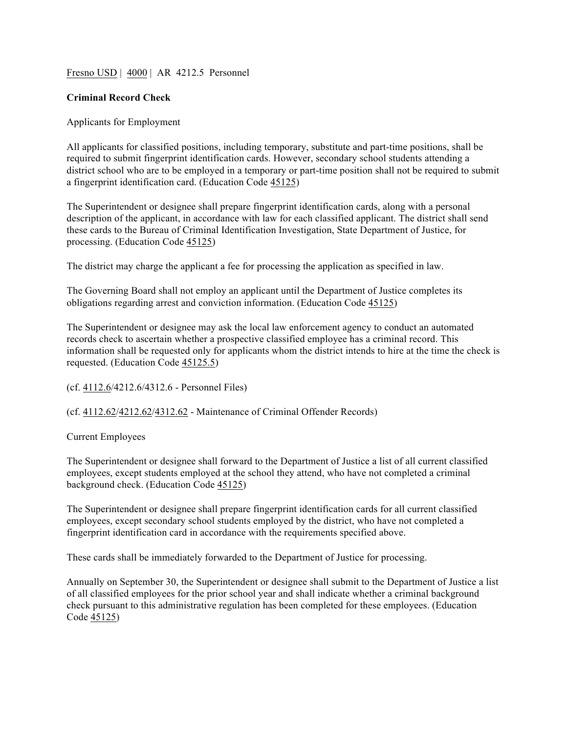## Fresno USD | 4000 | AR 4212.5 Personnel

## **Criminal Record Check**

## Applicants for Employment

All applicants for classified positions, including temporary, substitute and part-time positions, shall be required to submit fingerprint identification cards. However, secondary school students attending a district school who are to be employed in a temporary or part-time position shall not be required to submit a fingerprint identification card. (Education Code 45125)

The Superintendent or designee shall prepare fingerprint identification cards, along with a personal description of the applicant, in accordance with law for each classified applicant. The district shall send these cards to the Bureau of Criminal Identification Investigation, State Department of Justice, for processing. (Education Code 45125)

The district may charge the applicant a fee for processing the application as specified in law.

The Governing Board shall not employ an applicant until the Department of Justice completes its obligations regarding arrest and conviction information. (Education Code 45125)

The Superintendent or designee may ask the local law enforcement agency to conduct an automated records check to ascertain whether a prospective classified employee has a criminal record. This information shall be requested only for applicants whom the district intends to hire at the time the check is requested. (Education Code 45125.5)

(cf. 4112.6/4212.6/4312.6 - Personnel Files)

(cf. 4112.62/4212.62/4312.62 - Maintenance of Criminal Offender Records)

Current Employees

The Superintendent or designee shall forward to the Department of Justice a list of all current classified employees, except students employed at the school they attend, who have not completed a criminal background check. (Education Code 45125)

The Superintendent or designee shall prepare fingerprint identification cards for all current classified employees, except secondary school students employed by the district, who have not completed a fingerprint identification card in accordance with the requirements specified above.

These cards shall be immediately forwarded to the Department of Justice for processing.

Annually on September 30, the Superintendent or designee shall submit to the Department of Justice a list of all classified employees for the prior school year and shall indicate whether a criminal background check pursuant to this administrative regulation has been completed for these employees. (Education Code 45125)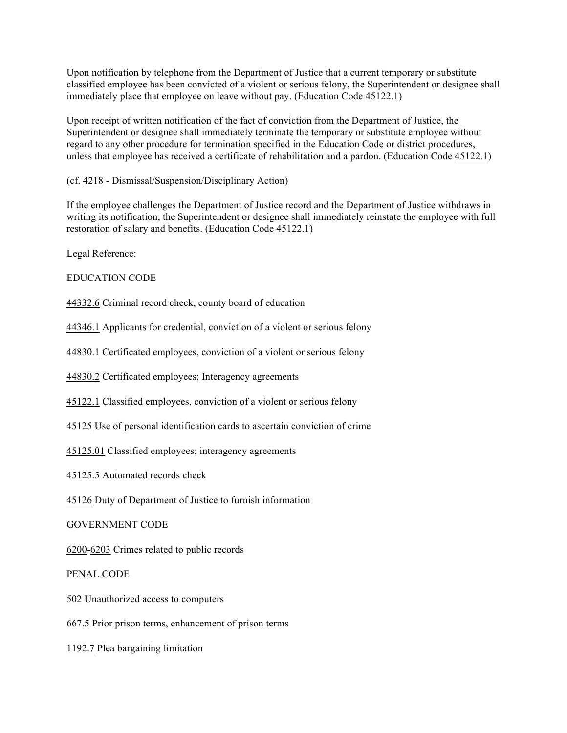Upon notification by telephone from the Department of Justice that a current temporary or substitute classified employee has been convicted of a violent or serious felony, the Superintendent or designee shall immediately place that employee on leave without pay. (Education Code 45122.1)

Upon receipt of written notification of the fact of conviction from the Department of Justice, the Superintendent or designee shall immediately terminate the temporary or substitute employee without regard to any other procedure for termination specified in the Education Code or district procedures, unless that employee has received a certificate of rehabilitation and a pardon. (Education Code 45122.1)

(cf. 4218 - Dismissal/Suspension/Disciplinary Action)

If the employee challenges the Department of Justice record and the Department of Justice withdraws in writing its notification, the Superintendent or designee shall immediately reinstate the employee with full restoration of salary and benefits. (Education Code 45122.1)

Legal Reference:

EDUCATION CODE

44332.6 Criminal record check, county board of education

44346.1 Applicants for credential, conviction of a violent or serious felony

44830.1 Certificated employees, conviction of a violent or serious felony

44830.2 Certificated employees; Interagency agreements

45122.1 Classified employees, conviction of a violent or serious felony

45125 Use of personal identification cards to ascertain conviction of crime

45125.01 Classified employees; interagency agreements

45125.5 Automated records check

45126 Duty of Department of Justice to furnish information

GOVERNMENT CODE

6200-6203 Crimes related to public records

PENAL CODE

502 Unauthorized access to computers

667.5 Prior prison terms, enhancement of prison terms

1192.7 Plea bargaining limitation